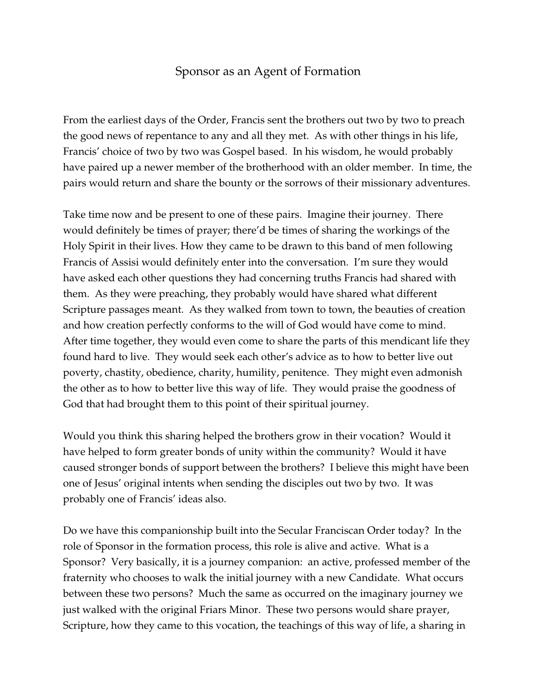## Sponsor as an Agent of Formation

From the earliest days of the Order, Francis sent the brothers out two by two to preach the good news of repentance to any and all they met. As with other things in his life, Francis' choice of two by two was Gospel based. In his wisdom, he would probably have paired up a newer member of the brotherhood with an older member. In time, the pairs would return and share the bounty or the sorrows of their missionary adventures.

Take time now and be present to one of these pairs. Imagine their journey. There would definitely be times of prayer; there'd be times of sharing the workings of the Holy Spirit in their lives. How they came to be drawn to this band of men following Francis of Assisi would definitely enter into the conversation. I'm sure they would have asked each other questions they had concerning truths Francis had shared with them. As they were preaching, they probably would have shared what different Scripture passages meant. As they walked from town to town, the beauties of creation and how creation perfectly conforms to the will of God would have come to mind. After time together, they would even come to share the parts of this mendicant life they found hard to live. They would seek each other's advice as to how to better live out poverty, chastity, obedience, charity, humility, penitence. They might even admonish the other as to how to better live this way of life. They would praise the goodness of God that had brought them to this point of their spiritual journey.

Would you think this sharing helped the brothers grow in their vocation? Would it have helped to form greater bonds of unity within the community? Would it have caused stronger bonds of support between the brothers? I believe this might have been one of Jesus' original intents when sending the disciples out two by two. It was probably one of Francis' ideas also.

Do we have this companionship built into the Secular Franciscan Order today? In the role of Sponsor in the formation process, this role is alive and active. What is a Sponsor? Very basically, it is a journey companion: an active, professed member of the fraternity who chooses to walk the initial journey with a new Candidate. What occurs between these two persons? Much the same as occurred on the imaginary journey we just walked with the original Friars Minor. These two persons would share prayer, Scripture, how they came to this vocation, the teachings of this way of life, a sharing in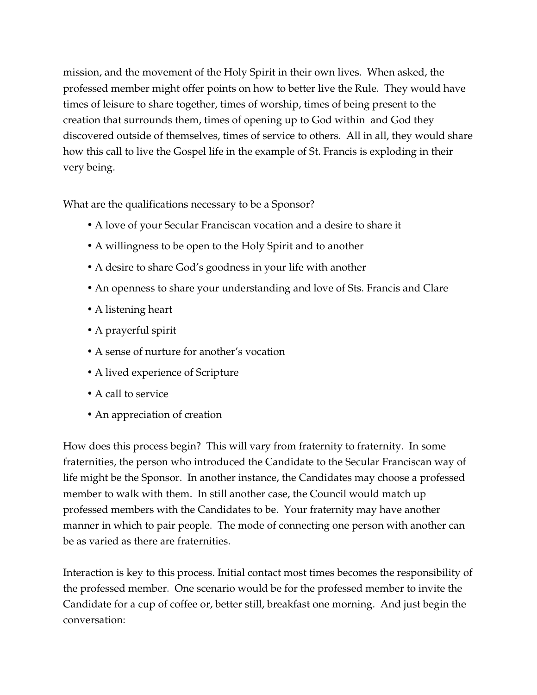mission, and the movement of the Holy Spirit in their own lives. When asked, the professed member might offer points on how to better live the Rule. They would have times of leisure to share together, times of worship, times of being present to the creation that surrounds them, times of opening up to God within and God they discovered outside of themselves, times of service to others. All in all, they would share how this call to live the Gospel life in the example of St. Francis is exploding in their very being.

What are the qualifications necessary to be a Sponsor?

- A love of your Secular Franciscan vocation and a desire to share it
- A willingness to be open to the Holy Spirit and to another
- A desire to share God's goodness in your life with another
- An openness to share your understanding and love of Sts. Francis and Clare
- A listening heart
- A prayerful spirit
- A sense of nurture for another's vocation
- A lived experience of Scripture
- A call to service
- An appreciation of creation

How does this process begin? This will vary from fraternity to fraternity. In some fraternities, the person who introduced the Candidate to the Secular Franciscan way of life might be the Sponsor. In another instance, the Candidates may choose a professed member to walk with them. In still another case, the Council would match up professed members with the Candidates to be. Your fraternity may have another manner in which to pair people. The mode of connecting one person with another can be as varied as there are fraternities.

Interaction is key to this process. Initial contact most times becomes the responsibility of the professed member. One scenario would be for the professed member to invite the Candidate for a cup of coffee or, better still, breakfast one morning. And just begin the conversation: